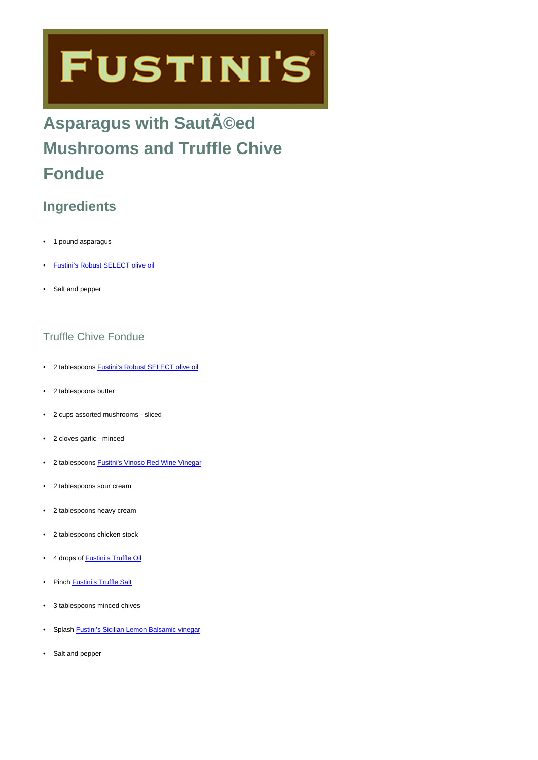# **FUSTINI'S**

## **Asparagus with SautA**©ed **Mushrooms and Truffle Chive Fondue**

### **Ingredients**

- 1 pound asparagus
- [Fustini's Robust SELECT olive oil](https://www.fustinis.com/order/category/oils/extra-virgin-olive-oils/robust_10/)
- Salt and pepper

#### Truffle Chive Fondue

- 2 tablespoons [Fustini's Robust SELECT olive oil](https://www.fustinis.com/order/category/oils/extra-virgin-olive-oils/robust_10/)
- 2 tablespoons butter
- 2 cups assorted mushrooms sliced
- 2 cloves garlic minced
- 2 tablespoons [Fusitni's Vinoso Red Wine Vinegar](https://www.fustinis.com/order/vinoso_447/)
- 2 tablespoons sour cream
- 2 tablespoons heavy cream
- 2 tablespoons chicken stock
- 4 drops of [Fustini's Truffle Oil](https://www.fustinis.com/order/white-truffle-oil_73/)
- Pinch **[Fustini's Truffle Salt](https://www.fustinis.com/order/black-truffle-salt_278/)**
- 3 tablespoons minced chives
- Splash [Fustini's Sicilian Lemon Balsamic vinegar](https://www.fustinis.com/order/sicilian-lemon-white_102/)
- Salt and pepper